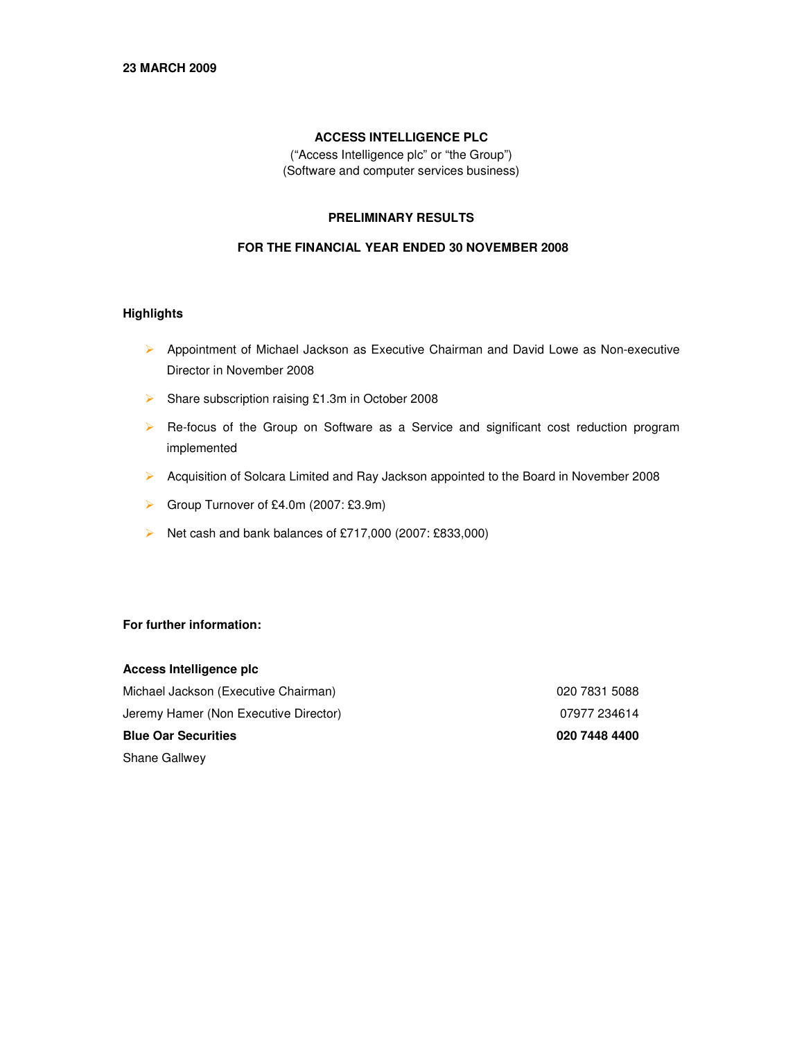## **ACCESS INTELLIGENCE PLC**

("Access Intelligence plc" or "the Group") (Software and computer services business)

## **PRELIMINARY RESULTS**

## **FOR THE FINANCIAL YEAR ENDED 30 NOVEMBER 2008**

### **Highlights**

- $\triangleright$  Appointment of Michael Jackson as Executive Chairman and David Lowe as Non-executive Director in November 2008
- ▶ Share subscription raising £1.3m in October 2008
- Re-focus of the Group on Software as a Service and significant cost reduction program implemented
- Acquisition of Solcara Limited and Ray Jackson appointed to the Board in November 2008
- Group Turnover of £4.0m (2007: £3.9m)
- Net cash and bank balances of £717,000 (2007: £833,000)

## **For further information:**

| Access Intelligence plc               |               |
|---------------------------------------|---------------|
| Michael Jackson (Executive Chairman)  | 020 7831 5088 |
| Jeremy Hamer (Non Executive Director) | 07977 234614  |
| <b>Blue Oar Securities</b>            | 020 7448 4400 |
| <b>Shane Gallwey</b>                  |               |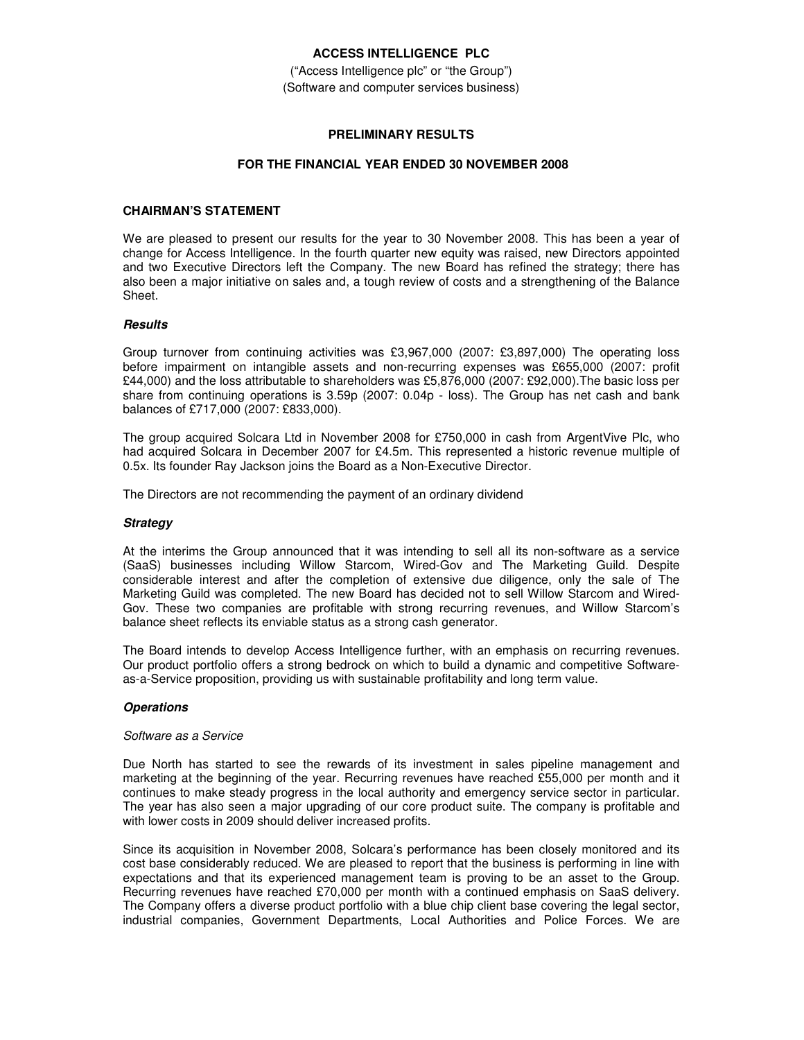### **ACCESS INTELLIGENCE PLC**

("Access Intelligence plc" or "the Group") (Software and computer services business)

### **PRELIMINARY RESULTS**

### **FOR THE FINANCIAL YEAR ENDED 30 NOVEMBER 2008**

## **CHAIRMAN'S STATEMENT**

We are pleased to present our results for the year to 30 November 2008. This has been a year of change for Access Intelligence. In the fourth quarter new equity was raised, new Directors appointed and two Executive Directors left the Company. The new Board has refined the strategy; there has also been a major initiative on sales and, a tough review of costs and a strengthening of the Balance Sheet.

### *Results*

Group turnover from continuing activities was £3,967,000 (2007: £3,897,000) The operating loss before impairment on intangible assets and non-recurring expenses was £655,000 (2007: profit £44,000) and the loss attributable to shareholders was £5,876,000 (2007: £92,000).The basic loss per share from continuing operations is 3.59p (2007: 0.04p - loss). The Group has net cash and bank balances of £717,000 (2007: £833,000).

The group acquired Solcara Ltd in November 2008 for £750,000 in cash from ArgentVive Plc, who had acquired Solcara in December 2007 for £4.5m. This represented a historic revenue multiple of 0.5x. Its founder Ray Jackson joins the Board as a Non-Executive Director.

The Directors are not recommending the payment of an ordinary dividend

### *Strategy*

At the interims the Group announced that it was intending to sell all its non-software as a service (SaaS) businesses including Willow Starcom, Wired-Gov and The Marketing Guild. Despite considerable interest and after the completion of extensive due diligence, only the sale of The Marketing Guild was completed. The new Board has decided not to sell Willow Starcom and Wired-Gov. These two companies are profitable with strong recurring revenues, and Willow Starcom's balance sheet reflects its enviable status as a strong cash generator.

The Board intends to develop Access Intelligence further, with an emphasis on recurring revenues. Our product portfolio offers a strong bedrock on which to build a dynamic and competitive Softwareas-a-Service proposition, providing us with sustainable profitability and long term value.

### *Operations*

### *Software as a Service*

Due North has started to see the rewards of its investment in sales pipeline management and marketing at the beginning of the year. Recurring revenues have reached £55,000 per month and it continues to make steady progress in the local authority and emergency service sector in particular. The year has also seen a major upgrading of our core product suite. The company is profitable and with lower costs in 2009 should deliver increased profits.

Since its acquisition in November 2008, Solcara's performance has been closely monitored and its cost base considerably reduced. We are pleased to report that the business is performing in line with expectations and that its experienced management team is proving to be an asset to the Group. Recurring revenues have reached £70,000 per month with a continued emphasis on SaaS delivery. The Company offers a diverse product portfolio with a blue chip client base covering the legal sector, industrial companies, Government Departments, Local Authorities and Police Forces. We are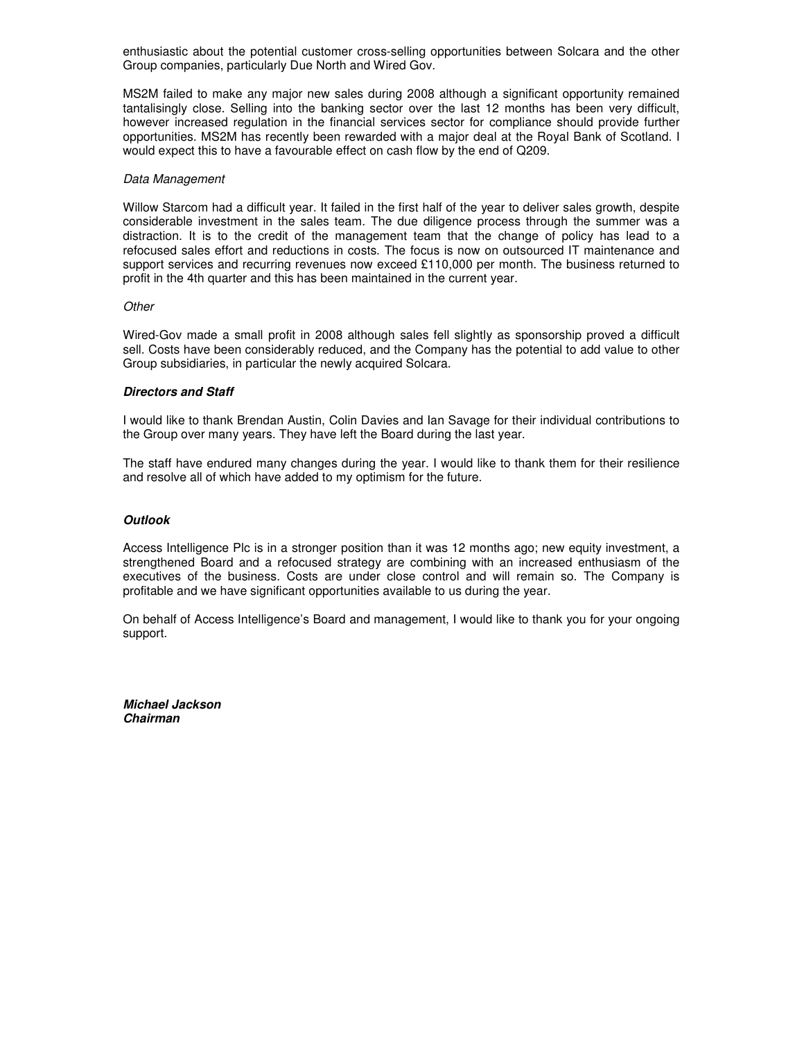enthusiastic about the potential customer cross-selling opportunities between Solcara and the other Group companies, particularly Due North and Wired Gov.

MS2M failed to make any major new sales during 2008 although a significant opportunity remained tantalisingly close. Selling into the banking sector over the last 12 months has been very difficult, however increased regulation in the financial services sector for compliance should provide further opportunities. MS2M has recently been rewarded with a major deal at the Royal Bank of Scotland. I would expect this to have a favourable effect on cash flow by the end of Q209.

#### *Data Management*

Willow Starcom had a difficult year. It failed in the first half of the year to deliver sales growth, despite considerable investment in the sales team. The due diligence process through the summer was a distraction. It is to the credit of the management team that the change of policy has lead to a refocused sales effort and reductions in costs. The focus is now on outsourced IT maintenance and support services and recurring revenues now exceed £110,000 per month. The business returned to profit in the 4th quarter and this has been maintained in the current year.

#### *Other*

Wired-Gov made a small profit in 2008 although sales fell slightly as sponsorship proved a difficult sell. Costs have been considerably reduced, and the Company has the potential to add value to other Group subsidiaries, in particular the newly acquired Solcara.

#### *Directors and Staff*

I would like to thank Brendan Austin, Colin Davies and Ian Savage for their individual contributions to the Group over many years. They have left the Board during the last year.

The staff have endured many changes during the year. I would like to thank them for their resilience and resolve all of which have added to my optimism for the future.

#### *Outlook*

Access Intelligence Plc is in a stronger position than it was 12 months ago; new equity investment, a strengthened Board and a refocused strategy are combining with an increased enthusiasm of the executives of the business. Costs are under close control and will remain so. The Company is profitable and we have significant opportunities available to us during the year.

On behalf of Access Intelligence's Board and management, I would like to thank you for your ongoing support.

*Michael Jackson Chairman*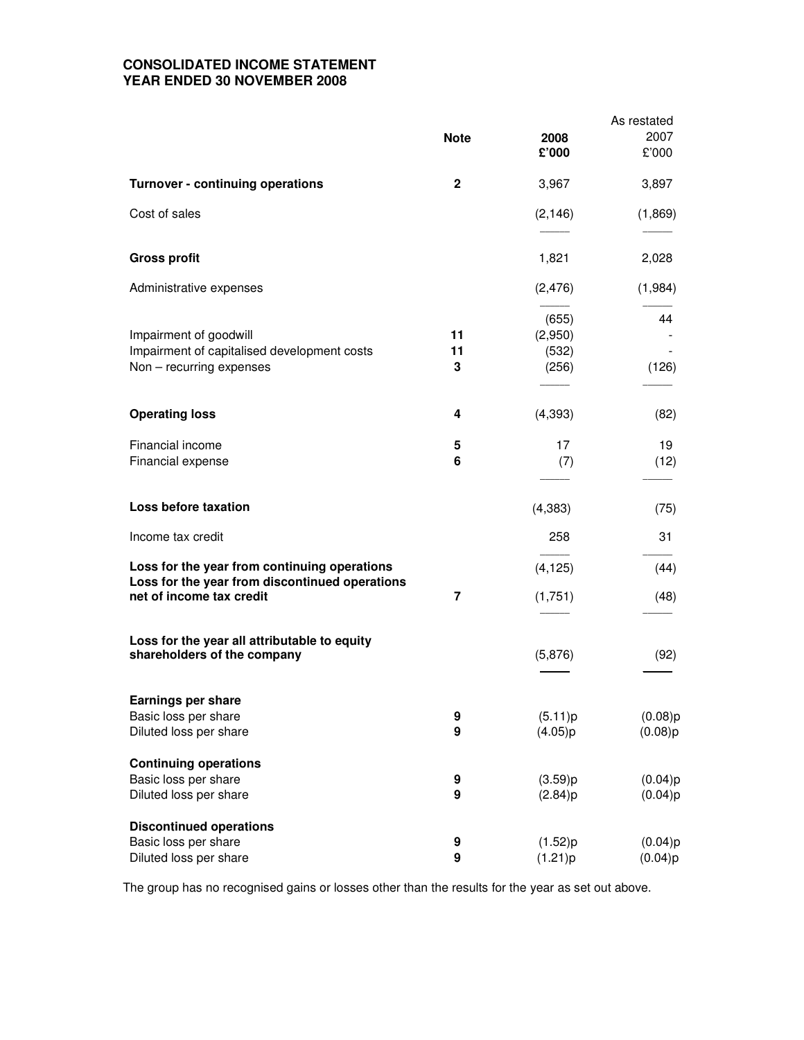## **CONSOLIDATED INCOME STATEMENT YEAR ENDED 30 NOVEMBER 2008**

|                                                                                                   |               |                                    | As restated        |
|---------------------------------------------------------------------------------------------------|---------------|------------------------------------|--------------------|
|                                                                                                   | <b>Note</b>   | 2008<br>£'000                      | 2007<br>£'000      |
| <b>Turnover - continuing operations</b>                                                           | $\mathbf{2}$  | 3,967                              | 3,897              |
| Cost of sales                                                                                     |               | (2, 146)                           | (1,869)            |
| <b>Gross profit</b>                                                                               |               | 1,821                              | 2,028              |
| Administrative expenses                                                                           |               | (2, 476)                           | (1,984)            |
| Impairment of goodwill<br>Impairment of capitalised development costs<br>Non - recurring expenses | 11<br>11<br>3 | (655)<br>(2,950)<br>(532)<br>(256) | 44<br>(126)        |
| <b>Operating loss</b>                                                                             | 4             | (4, 393)                           | (82)               |
| Financial income<br>Financial expense                                                             | 5<br>6        | 17<br>(7)                          | 19<br>(12)         |
| Loss before taxation                                                                              |               | (4,383)                            | (75)               |
| Income tax credit                                                                                 |               | 258                                | 31                 |
| Loss for the year from continuing operations<br>Loss for the year from discontinued operations    |               | (4, 125)                           | (44)               |
| net of income tax credit                                                                          | 7             | (1,751)                            | (48)               |
| Loss for the year all attributable to equity<br>shareholders of the company                       |               | (5,876)                            | (92)               |
| <b>Earnings per share</b>                                                                         |               |                                    |                    |
| Basic loss per share<br>Diluted loss per share                                                    | 9<br>9        | (5.11)p<br>(4.05)p                 | (0.08)p<br>(0.08)p |
| <b>Continuing operations</b>                                                                      |               |                                    |                    |
| Basic loss per share<br>Diluted loss per share                                                    | 9<br>9        | (3.59)p<br>(2.84)p                 | (0.04)p<br>(0.04)p |
| <b>Discontinued operations</b><br>Basic loss per share                                            |               |                                    |                    |
| Diluted loss per share                                                                            | 9<br>9        | (1.52)p<br>(1.21)p                 | (0.04)p<br>(0.04)p |

The group has no recognised gains or losses other than the results for the year as set out above.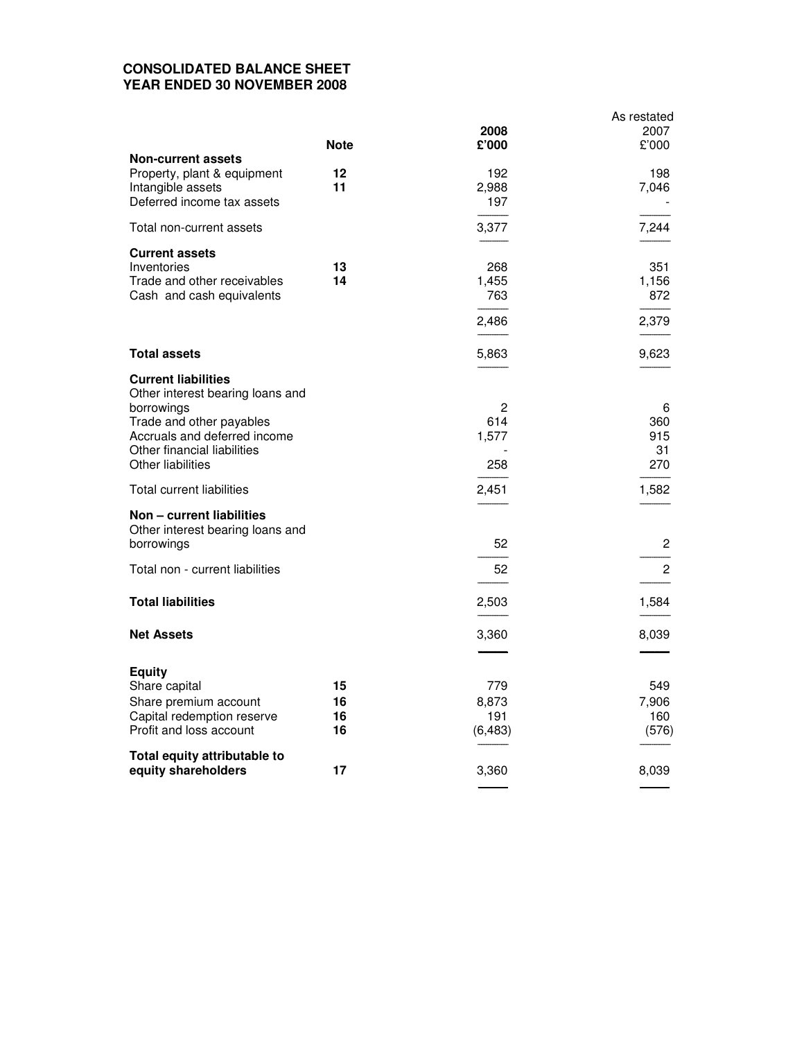# **CONSOLIDATED BALANCE SHEET YEAR ENDED 30 NOVEMBER 2008**

|                                                  | <b>Note</b> | 2008<br>£'000 | As restated<br>2007<br>£'000 |
|--------------------------------------------------|-------------|---------------|------------------------------|
| <b>Non-current assets</b>                        |             |               |                              |
| Property, plant & equipment                      | 12          | 192           | 198                          |
| Intangible assets                                | 11          | 2,988         | 7,046                        |
| Deferred income tax assets                       |             | 197           |                              |
| Total non-current assets                         |             | 3,377         | 7,244                        |
| <b>Current assets</b>                            |             |               |                              |
| Inventories                                      | 13          | 268           | 351                          |
| Trade and other receivables                      | 14          | 1,455         | 1,156                        |
| Cash and cash equivalents                        |             | 763           | 872                          |
|                                                  |             | 2,486         | 2,379                        |
| <b>Total assets</b>                              |             | 5,863         | 9,623                        |
| <b>Current liabilities</b>                       |             |               |                              |
| Other interest bearing loans and                 |             |               |                              |
| borrowings                                       |             | 2             | 6                            |
| Trade and other payables                         |             | 614           | 360                          |
| Accruals and deferred income                     |             | 1,577         | 915                          |
| Other financial liabilities<br>Other liabilities |             | 258           | 31<br>270                    |
|                                                  |             |               |                              |
| Total current liabilities                        |             | 2,451         | 1,582                        |
| Non - current liabilities                        |             |               |                              |
| Other interest bearing loans and                 |             |               |                              |
| borrowings                                       |             | 52            | 2                            |
| Total non - current liabilities                  |             | 52            | 2                            |
|                                                  |             |               |                              |
| <b>Total liabilities</b>                         |             | 2,503         | 1,584                        |
| <b>Net Assets</b>                                |             | 3,360         | 8,039                        |
|                                                  |             |               |                              |
| <b>Equity</b>                                    |             |               |                              |
| Share capital                                    | 15          | 779           | 549                          |
| Share premium account                            | 16          | 8,873         | 7,906                        |
| Capital redemption reserve                       | 16          | 191           | 160                          |
| Profit and loss account                          | 16          | (6, 483)      | (576)                        |
| Total equity attributable to                     |             |               |                              |
| equity shareholders                              | 17          | 3,360         | 8,039                        |
|                                                  |             |               |                              |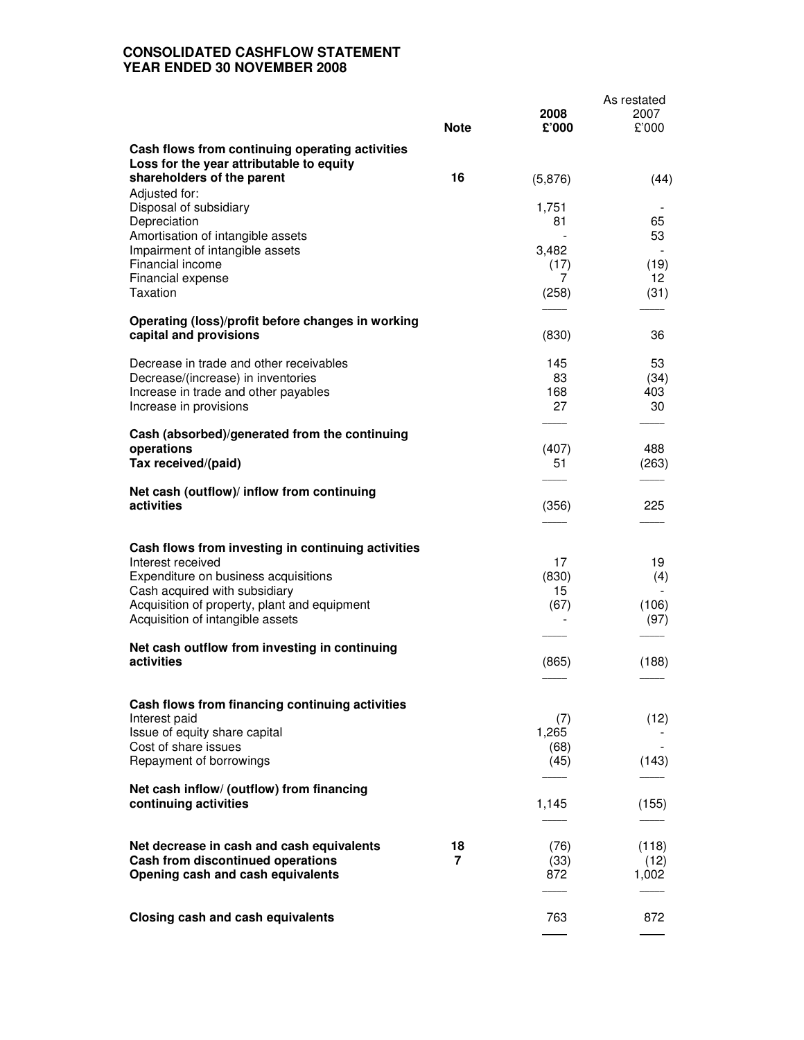# **CONSOLIDATED CASHFLOW STATEMENT YEAR ENDED 30 NOVEMBER 2008**

|                                                                                  |             |               | As restated   |
|----------------------------------------------------------------------------------|-------------|---------------|---------------|
|                                                                                  | <b>Note</b> | 2008<br>£'000 | 2007<br>£'000 |
| Cash flows from continuing operating activities                                  |             |               |               |
| Loss for the year attributable to equity<br>shareholders of the parent           | 16          | (5,876)       | (44)          |
| Adjusted for:<br>Disposal of subsidiary                                          |             | 1,751         |               |
| Depreciation<br>Amortisation of intangible assets                                |             | 81            | 65<br>53      |
| Impairment of intangible assets                                                  |             | 3,482         |               |
| Financial income<br>Financial expense                                            |             | (17)<br>7     | (19)<br>12    |
| <b>Taxation</b>                                                                  |             | (258)         | (31)          |
| Operating (loss)/profit before changes in working<br>capital and provisions      |             | (830)         | 36            |
|                                                                                  |             |               |               |
| Decrease in trade and other receivables<br>Decrease/(increase) in inventories    |             | 145<br>83     | 53<br>(34)    |
| Increase in trade and other payables                                             |             | 168<br>27     | 403<br>30     |
| Increase in provisions                                                           |             |               |               |
| Cash (absorbed)/generated from the continuing<br>operations                      |             | (407)         | 488           |
| Tax received/(paid)                                                              |             | 51            | (263)         |
| Net cash (outflow)/ inflow from continuing                                       |             |               |               |
| activities                                                                       |             | (356)         | 225           |
| Cash flows from investing in continuing activities                               |             |               |               |
| Interest received                                                                |             | 17            | 19            |
| Expenditure on business acquisitions<br>Cash acquired with subsidiary            |             | (830)<br>15   | (4)           |
| Acquisition of property, plant and equipment<br>Acquisition of intangible assets |             | (67)          | (106)<br>(97) |
|                                                                                  |             |               |               |
| Net cash outflow from investing in continuing<br>activities                      |             | (865)         | (188)         |
|                                                                                  |             |               |               |
| Cash flows from financing continuing activities                                  |             |               |               |
| Interest paid<br>Issue of equity share capital                                   |             | (7)<br>1,265  | (12)          |
| Cost of share issues<br>Repayment of borrowings                                  |             | (68)<br>(45)  | (143)         |
|                                                                                  |             |               |               |
| Net cash inflow/ (outflow) from financing<br>continuing activities               |             | 1,145         | (155)         |
|                                                                                  |             |               |               |
| Net decrease in cash and cash equivalents<br>Cash from discontinued operations   | 18<br>7     | (76)<br>(33)  | (118)<br>(12) |
| Opening cash and cash equivalents                                                |             | 872           | 1,002         |
|                                                                                  |             |               |               |
| <b>Closing cash and cash equivalents</b>                                         |             | 763           | 872           |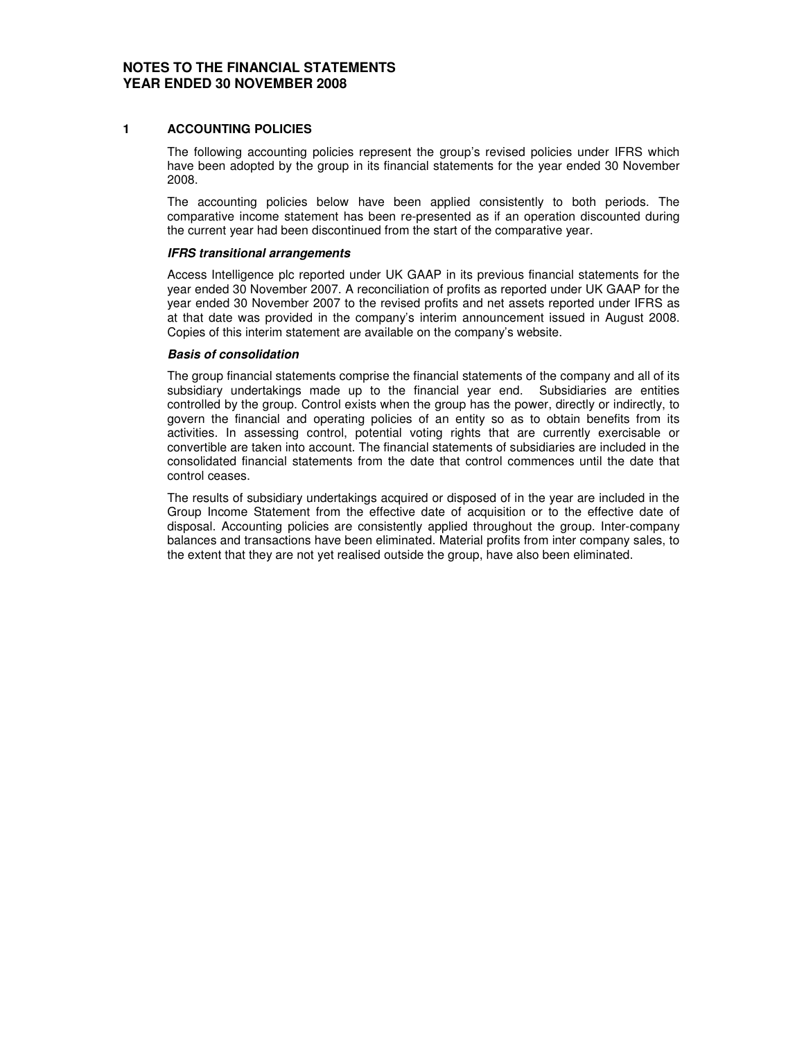### **NOTES TO THE FINANCIAL STATEMENTS YEAR ENDED 30 NOVEMBER 2008**

### **1 ACCOUNTING POLICIES**

The following accounting policies represent the group's revised policies under IFRS which have been adopted by the group in its financial statements for the year ended 30 November 2008.

The accounting policies below have been applied consistently to both periods. The comparative income statement has been re-presented as if an operation discounted during the current year had been discontinued from the start of the comparative year.

### *IFRS transitional arrangements*

Access Intelligence plc reported under UK GAAP in its previous financial statements for the year ended 30 November 2007. A reconciliation of profits as reported under UK GAAP for the year ended 30 November 2007 to the revised profits and net assets reported under IFRS as at that date was provided in the company's interim announcement issued in August 2008. Copies of this interim statement are available on the company's website.

### *Basis of consolidation*

The group financial statements comprise the financial statements of the company and all of its subsidiary undertakings made up to the financial year end. Subsidiaries are entities controlled by the group. Control exists when the group has the power, directly or indirectly, to govern the financial and operating policies of an entity so as to obtain benefits from its activities. In assessing control, potential voting rights that are currently exercisable or convertible are taken into account. The financial statements of subsidiaries are included in the consolidated financial statements from the date that control commences until the date that control ceases.

The results of subsidiary undertakings acquired or disposed of in the year are included in the Group Income Statement from the effective date of acquisition or to the effective date of disposal. Accounting policies are consistently applied throughout the group. Inter-company balances and transactions have been eliminated. Material profits from inter company sales, to the extent that they are not yet realised outside the group, have also been eliminated.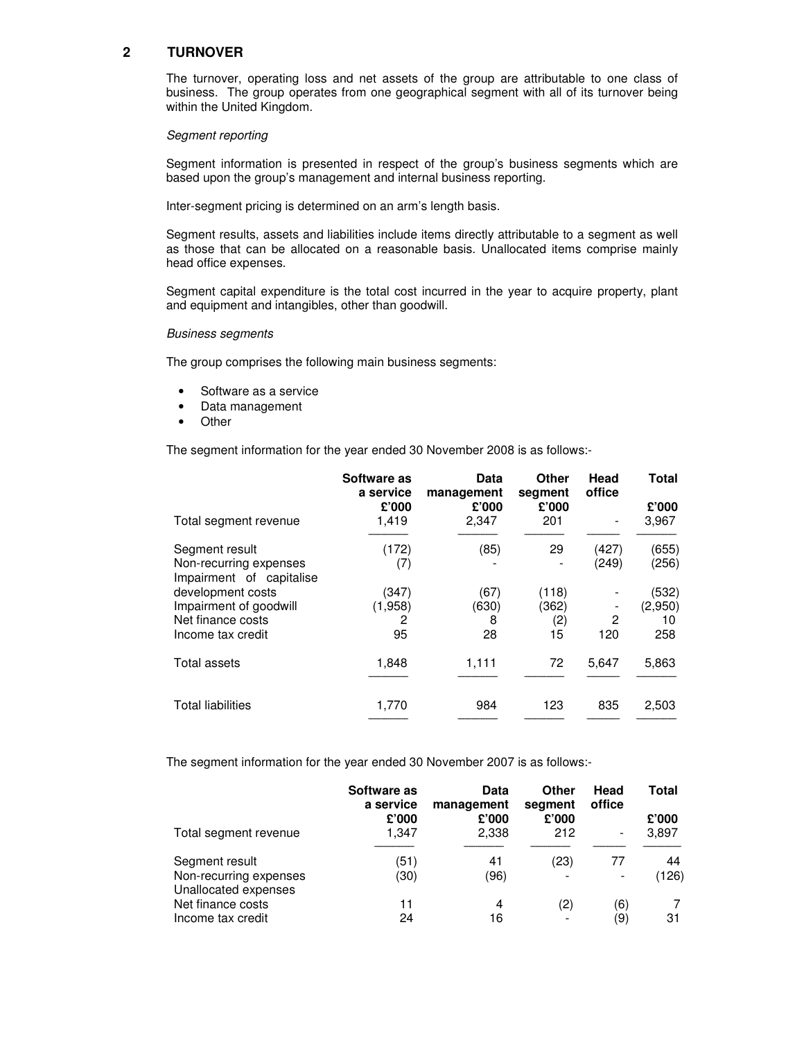## **2 TURNOVER**

The turnover, operating loss and net assets of the group are attributable to one class of business. The group operates from one geographical segment with all of its turnover being within the United Kingdom.

#### *Segment reporting*

Segment information is presented in respect of the group's business segments which are based upon the group's management and internal business reporting.

Inter-segment pricing is determined on an arm's length basis.

Segment results, assets and liabilities include items directly attributable to a segment as well as those that can be allocated on a reasonable basis. Unallocated items comprise mainly head office expenses.

Segment capital expenditure is the total cost incurred in the year to acquire property, plant and equipment and intangibles, other than goodwill.

#### *Business segments*

The group comprises the following main business segments:

- Software as a service
- Data management
- Other

The segment information for the year ended 30 November 2008 is as follows:-

|                                                                                       | Software as<br>a service    | Data<br>management       | Other<br>segment            | Head<br>office | Total                         |
|---------------------------------------------------------------------------------------|-----------------------------|--------------------------|-----------------------------|----------------|-------------------------------|
| Total segment revenue                                                                 | £'000<br>1,419              | £'000<br>2,347           | £'000<br>201                |                | £'000<br>3,967                |
| Segment result<br>Non-recurring expenses<br>Impairment of capitalise                  | (172)<br>(7)                | (85)                     | 29                          | (427)<br>(249) | (655)<br>(256)                |
| development costs<br>Impairment of goodwill<br>Net finance costs<br>Income tax credit | (347)<br>(1,958)<br>2<br>95 | (67)<br>(630)<br>8<br>28 | (118)<br>(362)<br>(2)<br>15 | 2<br>120       | (532)<br>(2,950)<br>10<br>258 |
| Total assets                                                                          | 1,848                       | 1,111                    | 72                          | 5,647          | 5,863                         |
| <b>Total liabilities</b>                                                              | 1,770                       | 984                      | 123                         | 835            | 2,503                         |

The segment information for the year ended 30 November 2007 is as follows:-

|                                                | Software as<br>a service | Data<br>management | Other<br>segment | Head<br>office           | Total |
|------------------------------------------------|--------------------------|--------------------|------------------|--------------------------|-------|
|                                                | £'000                    | £'000              | £'000            |                          | £'000 |
| Total segment revenue                          | 1,347                    | 2,338              | 212              | $\overline{\phantom{a}}$ | 3,897 |
| Segment result                                 | (51)                     | 41                 | (23)             | 77                       | 44    |
| Non-recurring expenses<br>Unallocated expenses | (30)                     | (96)               |                  |                          | (126) |
| Net finance costs                              | 11                       | 4                  | (2)              | (6)                      |       |
| Income tax credit                              | 24                       | 16                 |                  | (9)                      | 31    |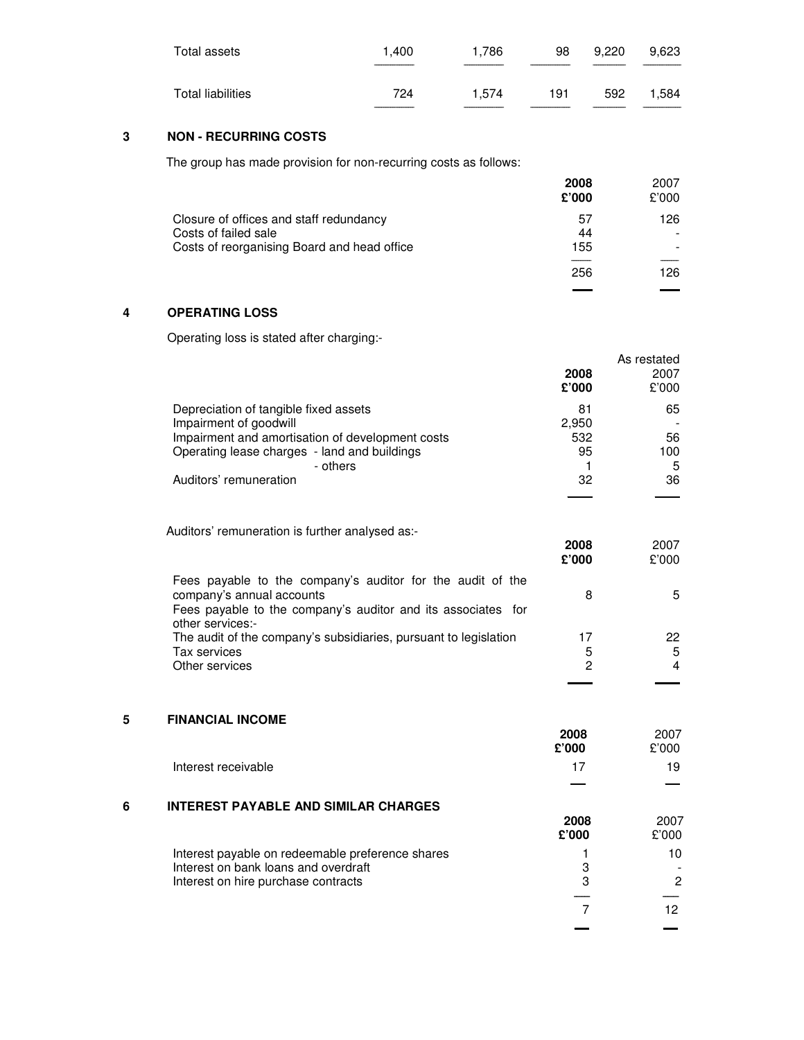| Total assets      | 1.400 | 1.786 | 98  | 9.220 | 9.623 |
|-------------------|-------|-------|-----|-------|-------|
| Total liabilities | 724   | 1.574 | 191 | 592   | 1.584 |

# **3 NON - RECURRING COSTS**

The group has made provision for non-recurring costs as follows:

|                                             | 2008<br>£'000 | 2007<br>£'000 |
|---------------------------------------------|---------------|---------------|
| Closure of offices and staff redundancy     | 57            | 126           |
| Costs of failed sale                        | 44            |               |
| Costs of reorganising Board and head office | 155           |               |
|                                             |               |               |
|                                             | 256           | 126           |
|                                             |               |               |

## **4 OPERATING LOSS**

Operating loss is stated after charging:-

|                                                  | 2008<br>£'000 | As restated<br>2007<br>£'000 |
|--------------------------------------------------|---------------|------------------------------|
| Depreciation of tangible fixed assets            | 81            | 65                           |
| Impairment of goodwill                           | 2,950         |                              |
| Impairment and amortisation of development costs | 532           | 56                           |
| Operating lease charges - land and buildings     | 95            | 100                          |
| - others                                         |               | 5                            |
| Auditors' remuneration                           | 32            | 36                           |

Auditors' remuneration is further analysed as:-

|                                                                                                                                                                             | 2008<br>£'000 | 2007<br>£'000 |
|-----------------------------------------------------------------------------------------------------------------------------------------------------------------------------|---------------|---------------|
| Fees payable to the company's auditor for the audit of the<br>company's annual accounts<br>Fees payable to the company's auditor and its associates for<br>other services:- | 8             | 5             |
| The audit of the company's subsidiaries, pursuant to legislation<br>Tax services                                                                                            | 17<br>5       | 22<br>5       |
| Other services                                                                                                                                                              | 2             | 4             |

## **5 FINANCIAL INCOME**

| 2008  | 2007  |
|-------|-------|
| £'000 | £'000 |

**\_\_\_ \_\_\_**

**\_\_\_\_\_ \_\_\_\_\_**

Interest receivable 19 and 19 and 17 and 19 and 19 and 19 and 19 and 19 and 19 and 19 and 19 and 19 and 19 and 19 and 19 and 19 and 19 and 19 and 19 and 19 and 19 and 19 and 19 and 19 and 19 and 19 and 19 and 19 and 19 and

## **6 INTEREST PAYABLE AND SIMILAR CHARGES**

|                                                  | 2008<br>£'000 | 2007<br>£'000 |
|--------------------------------------------------|---------------|---------------|
| Interest payable on redeemable preference shares |               | 10            |
| Interest on bank loans and overdraft             | З             |               |
| Interest on hire purchase contracts              | 3             | $\mathcal{P}$ |
|                                                  |               |               |
|                                                  |               |               |
|                                                  |               |               |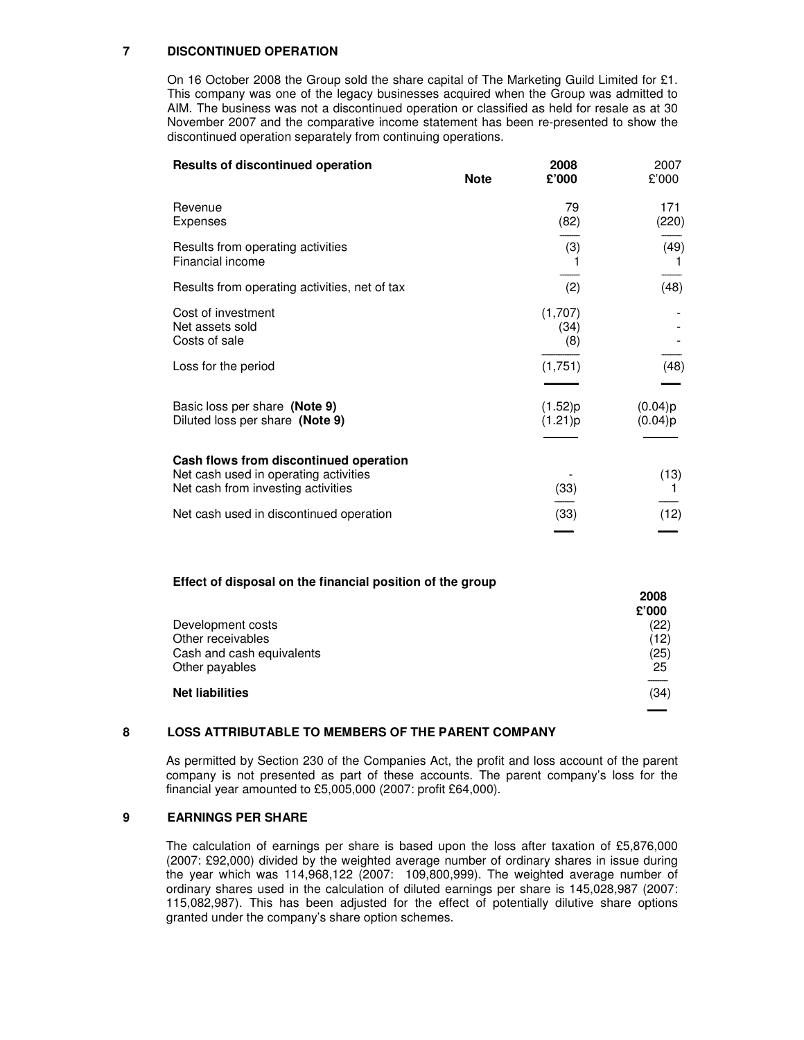## **7 DISCONTINUED OPERATION**

On 16 October 2008 the Group sold the share capital of The Marketing Guild Limited for £1. This company was one of the legacy businesses acquired when the Group was admitted to AIM. The business was not a discontinued operation or classified as held for resale as at 30 November 2007 and the comparative income statement has been re-presented to show the discontinued operation separately from continuing operations.

| <b>Note</b> | 2008<br>£'000          | 2007<br>£'000      |
|-------------|------------------------|--------------------|
|             | 79<br>(82)             | 171<br>(220)       |
|             | (3)                    | (49)               |
|             | (2)                    | (48)               |
|             | (1,707)<br>(34)<br>(8) |                    |
|             | (1,751)                | (48)               |
|             | (1.52)p<br>(1.21)p     | (0.04)p<br>(0.04)p |
|             | (33)                   | (13)               |
|             | (33)                   | (12)               |
|             |                        |                    |

#### **Effect of disposal on the financial position of the group**

|                           | 2008<br>£'000 |
|---------------------------|---------------|
| Development costs         | (22)          |
| Other receivables         | (12)          |
| Cash and cash equivalents | (25)          |
| Other payables            | 25            |
| <b>Net liabilities</b>    | (34)          |
|                           |               |

### **8 LOSS ATTRIBUTABLE TO MEMBERS OF THE PARENT COMPANY**

As permitted by Section 230 of the Companies Act, the profit and loss account of the parent company is not presented as part of these accounts. The parent company's loss for the financial year amounted to £5,005,000 (2007: profit £64,000).

### **9 EARNINGS PER SHARE**

The calculation of earnings per share is based upon the loss after taxation of £5,876,000 (2007: £92,000) divided by the weighted average number of ordinary shares in issue during the year which was 114,968,122 (2007: 109,800,999). The weighted average number of ordinary shares used in the calculation of diluted earnings per share is 145,028,987 (2007: 115,082,987). This has been adjusted for the effect of potentially dilutive share options granted under the company's share option schemes.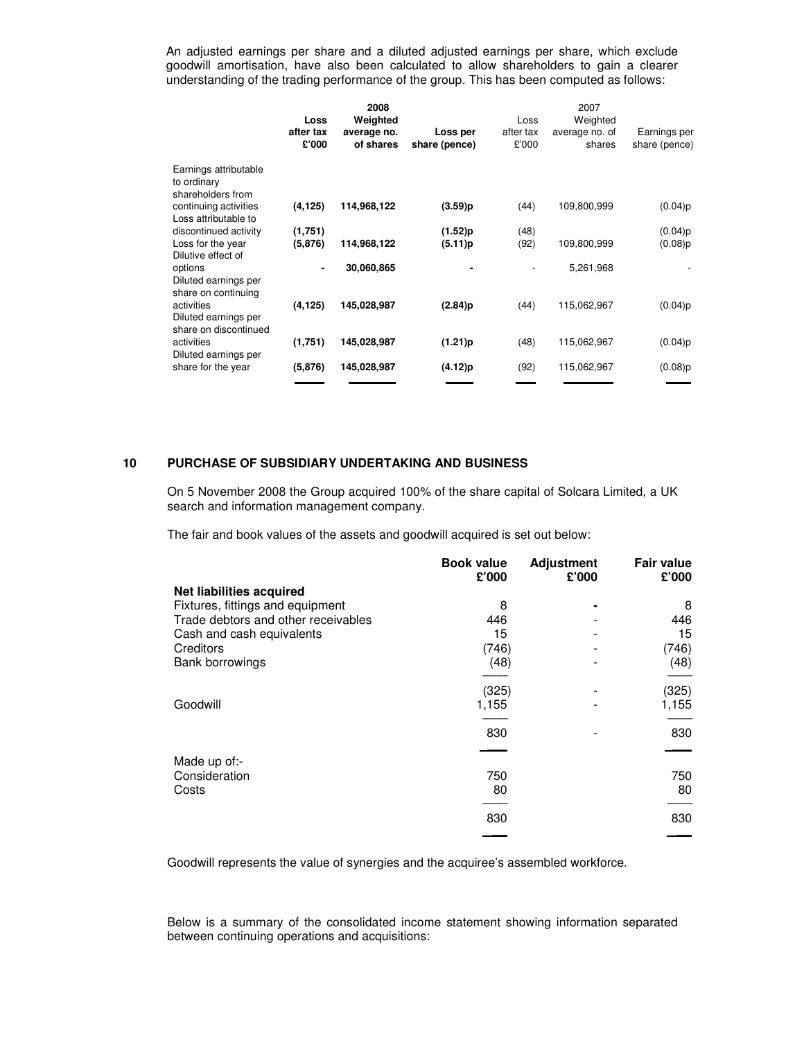An adjusted earnings per share and a diluted adjusted earnings per share, which exclude goodwill amortisation, have also been calculated to allow shareholders to gain a clearer understanding of the trading performance of the group. This has been computed as follows:

|                                                             | Loss<br>after tax<br>£'000 | 2008<br>Weighted<br>average no.<br>of shares | Loss per<br>share (pence) | Loss<br>after tax<br>£'000 | 2007<br>Weighted<br>average no. of<br>shares | Earnings per<br>share (pence) |
|-------------------------------------------------------------|----------------------------|----------------------------------------------|---------------------------|----------------------------|----------------------------------------------|-------------------------------|
| Earnings attributable<br>to ordinary<br>shareholders from   |                            |                                              |                           |                            |                                              |                               |
| continuing activities<br>Loss attributable to               | (4, 125)                   | 114,968,122                                  | (3.59)p                   | (44)                       | 109,800,999                                  | (0.04)p                       |
| discontinued activity                                       | (1,751)                    |                                              | $(1.52)$ p                | (48)                       |                                              | (0.04)p                       |
| Loss for the year<br>Dilutive effect of                     | (5,876)                    | 114,968,122                                  | (5.11)p                   | (92)                       | 109,800,999                                  | (0.08)p                       |
| options<br>Diluted earnings per<br>share on continuing      |                            | 30,060,865                                   |                           |                            | 5,261,968                                    |                               |
| activities<br>Diluted earnings per<br>share on discontinued | (4, 125)                   | 145.028.987                                  | (2.84)p                   | (44)                       | 115,062,967                                  | (0.04)p                       |
| activities<br>Diluted earnings per                          | (1,751)                    | 145,028,987                                  | (1.21)p                   | (48)                       | 115,062,967                                  | (0.04)p                       |
| share for the year                                          | (5,876)                    | 145,028,987                                  | (4.12)p                   | (92)                       | 115,062,967                                  | $(0.08)$ p                    |
|                                                             |                            |                                              |                           |                            |                                              |                               |

## **10 PURCHASE OF SUBSIDIARY UNDERTAKING AND BUSINESS**

On 5 November 2008 the Group acquired 100% of the share capital of Solcara Limited, a UK search and information management company.

The fair and book values of the assets and goodwill acquired is set out below:

|                                     | <b>Book value</b><br>£'000 | <b>Adjustment</b><br>£'000 | <b>Fair value</b><br>£'000 |
|-------------------------------------|----------------------------|----------------------------|----------------------------|
| Net liabilities acquired            |                            |                            |                            |
| Fixtures, fittings and equipment    | 8                          |                            | 8                          |
| Trade debtors and other receivables | 446                        |                            | 446                        |
| Cash and cash equivalents           | 15                         |                            | 15                         |
| Creditors                           | (746)                      |                            | (746)                      |
| Bank borrowings                     | (48)                       |                            | (48)                       |
|                                     | (325)                      |                            | (325)                      |
| Goodwill                            | 1,155                      |                            | 1,155                      |
|                                     | 830                        |                            | 830                        |
|                                     |                            |                            |                            |
| Made up of:-                        |                            |                            |                            |
| Consideration                       | 750                        |                            | 750                        |
| Costs                               | 80                         |                            | 80                         |
|                                     |                            |                            |                            |
|                                     | 830                        |                            | 830                        |
|                                     |                            |                            |                            |

Goodwill represents the value of synergies and the acquiree's assembled workforce.

Below is a summary of the consolidated income statement showing information separated between continuing operations and acquisitions: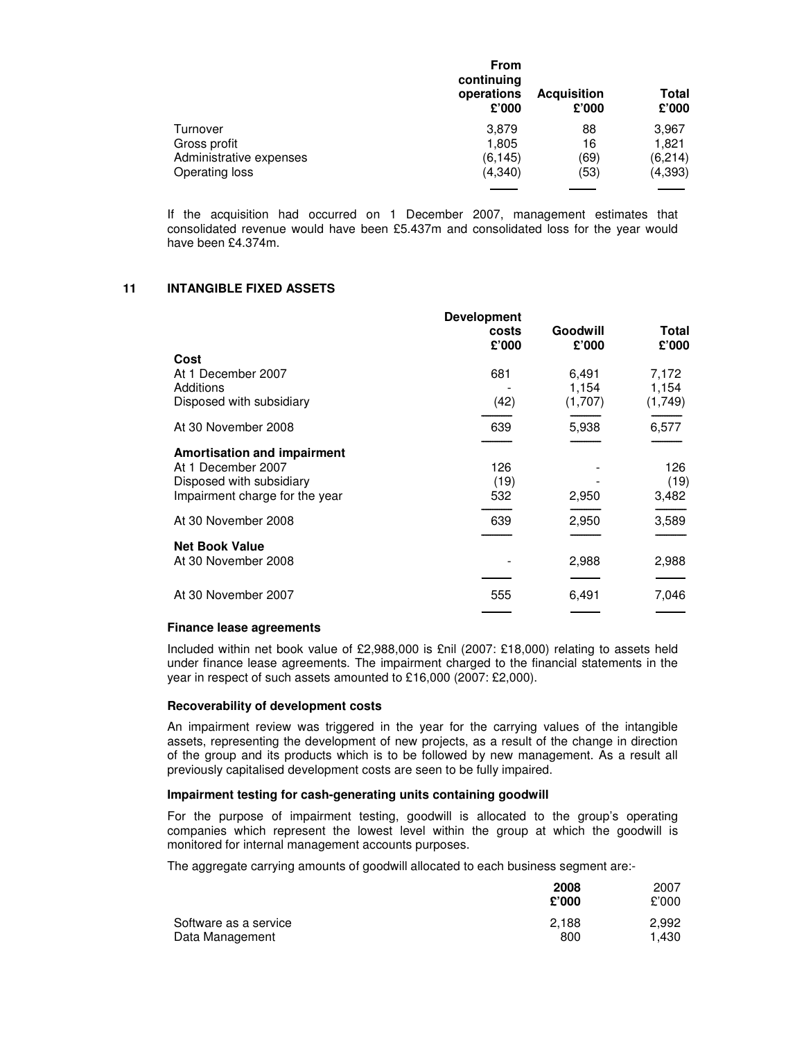|                         | <b>From</b><br>continuing<br>operations<br>£'000 | <b>Acquisition</b><br>£'000 | <b>Total</b><br>£'000 |
|-------------------------|--------------------------------------------------|-----------------------------|-----------------------|
| Turnover                | 3,879                                            | 88                          | 3,967                 |
| Gross profit            | 1,805                                            | 16                          | 1,821                 |
| Administrative expenses | (6, 145)                                         | (69)                        | (6,214)               |
| Operating loss          | (4,340)                                          | (53)                        | (4, 393)              |
|                         |                                                  |                             |                       |

If the acquisition had occurred on 1 December 2007, management estimates that consolidated revenue would have been £5.437m and consolidated loss for the year would have been £4.374m.

### **11 INTANGIBLE FIXED ASSETS**

|                                                            | <b>Development</b><br>costs<br>£'000 | <b>Goodwill</b><br>£'000 | Total<br>£'000   |
|------------------------------------------------------------|--------------------------------------|--------------------------|------------------|
| Cost                                                       |                                      |                          |                  |
| At 1 December 2007                                         | 681                                  | 6,491                    | 7,172            |
| Additions<br>Disposed with subsidiary                      | (42)                                 | 1,154<br>(1,707)         | 1,154<br>(1,749) |
| At 30 November 2008                                        | 639                                  | 5,938                    | 6,577            |
| <b>Amortisation and impairment</b>                         |                                      |                          |                  |
| At 1 December 2007                                         | 126                                  |                          | 126              |
| Disposed with subsidiary<br>Impairment charge for the year | (19)<br>532                          | 2,950                    | (19)<br>3,482    |
| At 30 November 2008                                        | 639                                  | 2,950                    | 3,589            |
| <b>Net Book Value</b>                                      |                                      |                          |                  |
| At 30 November 2008                                        |                                      | 2,988                    | 2,988            |
| At 30 November 2007                                        | 555                                  | 6,491                    | 7,046            |
|                                                            |                                      |                          |                  |

## **Finance lease agreements**

Included within net book value of £2,988,000 is £nil (2007: £18,000) relating to assets held under finance lease agreements. The impairment charged to the financial statements in the year in respect of such assets amounted to £16,000 (2007: £2,000).

#### **Recoverability of development costs**

An impairment review was triggered in the year for the carrying values of the intangible assets, representing the development of new projects, as a result of the change in direction of the group and its products which is to be followed by new management. As a result all previously capitalised development costs are seen to be fully impaired.

### **Impairment testing for cash-generating units containing goodwill**

For the purpose of impairment testing, goodwill is allocated to the group's operating companies which represent the lowest level within the group at which the goodwill is monitored for internal management accounts purposes.

The aggregate carrying amounts of goodwill allocated to each business segment are:-

|                       | 2008<br>£'000 | 2007<br>£'000 |
|-----------------------|---------------|---------------|
| Software as a service | 2.188         | 2.992         |
| Data Management       | 800           | 1.430         |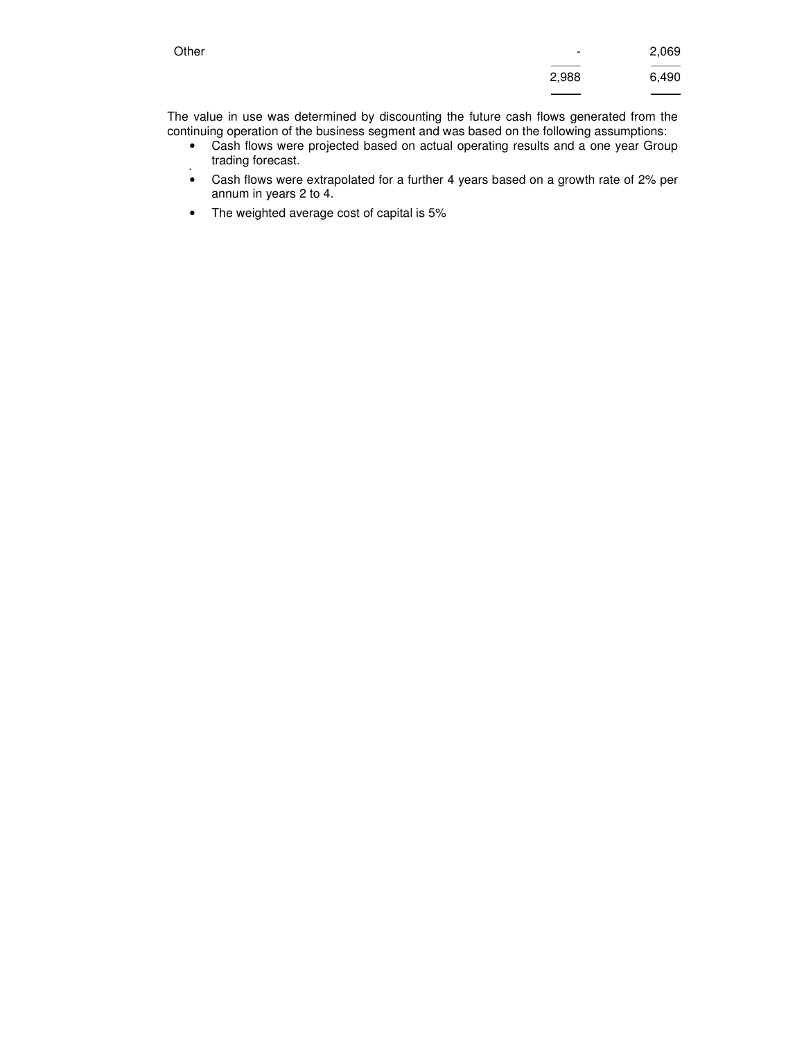| Other | $\overline{\phantom{a}}$ | 2,069  |
|-------|--------------------------|--------|
|       | 2,988                    | 6,490  |
|       |                          | ______ |

The value in use was determined by discounting the future cash flows generated from the continuing operation of the business segment and was based on the following assumptions:

- Cash flows were projected based on actual operating results and a one year Group trading forecast.
- • Cash flows were extrapolated for a further 4 years based on a growth rate of 2% per annum in years 2 to 4.
- The weighted average cost of capital is 5%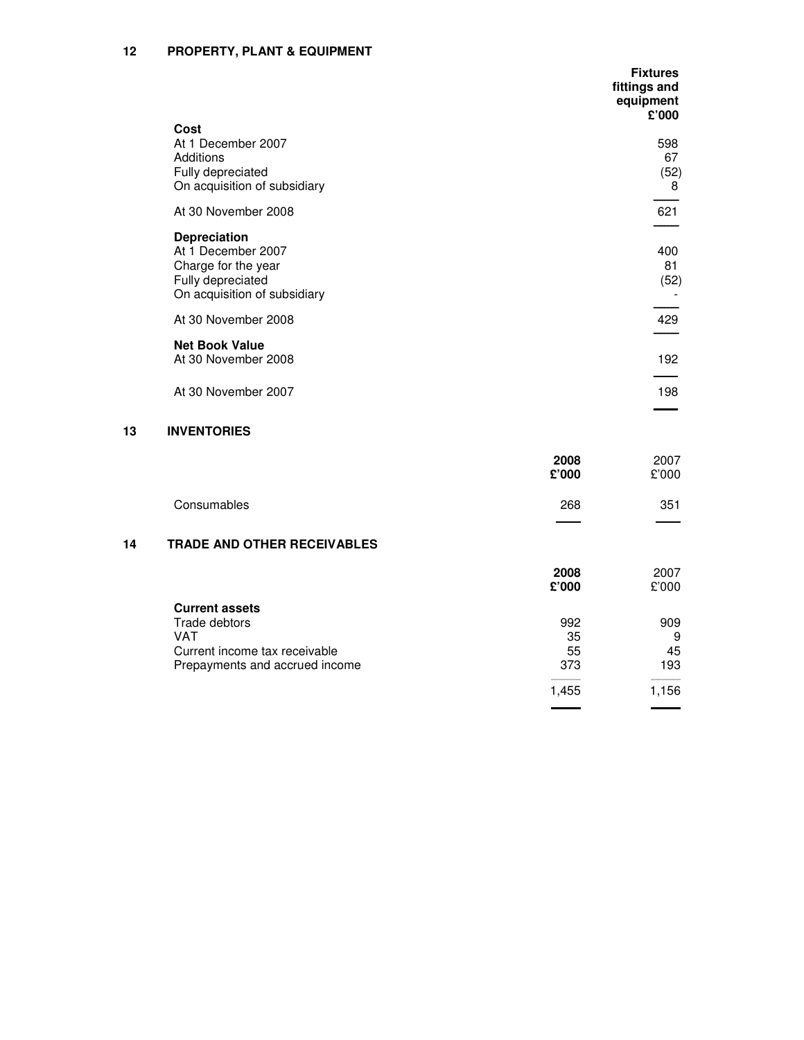|                                                                                                                       | <b>Fixtures</b><br>fittings and<br>equipment<br>£'000 |
|-----------------------------------------------------------------------------------------------------------------------|-------------------------------------------------------|
| Cost<br>At 1 December 2007<br>Additions<br>Fully depreciated<br>On acquisition of subsidiary                          | 598<br>67<br>(52)<br>8                                |
| At 30 November 2008                                                                                                   | 621                                                   |
| <b>Depreciation</b><br>At 1 December 2007<br>Charge for the year<br>Fully depreciated<br>On acquisition of subsidiary | 400<br>81<br>(52)                                     |
| At 30 November 2008                                                                                                   | 429                                                   |
| <b>Net Book Value</b><br>At 30 November 2008                                                                          | 192                                                   |
| At 30 November 2007                                                                                                   | 198                                                   |
|                                                                                                                       |                                                       |

## **13 INVENTORIES**

|             | 2008<br>£'000 | 2007<br>£'000 |
|-------------|---------------|---------------|
| Consumables | 268           | 351<br>___    |

# **14 TRADE AND OTHER RECEIVABLES**

|                                | 2008<br>£'000 | 2007<br>£'000 |
|--------------------------------|---------------|---------------|
| <b>Current assets</b>          |               |               |
| Trade debtors                  | 992           | 909           |
| VAT                            | 35            | 9             |
| Current income tax receivable  | 55            | 45            |
| Prepayments and accrued income | 373           | 193           |
|                                | 1.455         | .156          |

\_\_\_\_\_\_ \_\_\_\_\_\_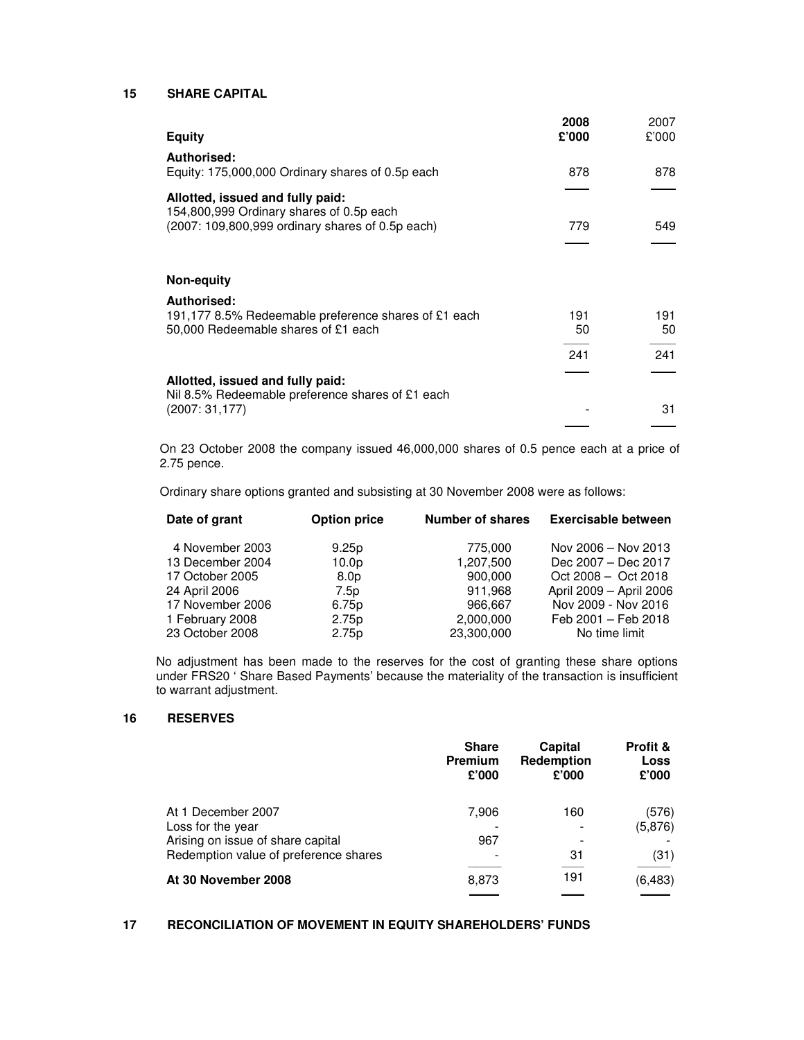## **15 SHARE CAPITAL**

| <b>Equity</b>                                                                | 2008<br>£'000 | 2007<br>£'000 |
|------------------------------------------------------------------------------|---------------|---------------|
| <b>Authorised:</b><br>Equity: 175,000,000 Ordinary shares of 0.5p each       | 878           | 878           |
| Allotted, issued and fully paid:<br>154,800,999 Ordinary shares of 0.5p each |               |               |
| (2007: 109,800,999 ordinary shares of 0.5p each)                             | 779           | 549           |
| Non-equity                                                                   |               |               |
| Authorised:<br>191,177 8.5% Redeemable preference shares of £1 each          | 191           | 191           |
| 50,000 Redeemable shares of £1 each                                          | 50<br>241     | 50<br>241     |
| Allotted, issued and fully paid:                                             |               |               |
| Nil 8.5% Redeemable preference shares of £1 each<br>(2007:31,177)            |               | 31            |

On 23 October 2008 the company issued 46,000,000 shares of 0.5 pence each at a price of 2.75 pence.

Ordinary share options granted and subsisting at 30 November 2008 were as follows:

| Date of grant    | <b>Option price</b> | <b>Number of shares</b> | <b>Exercisable between</b> |
|------------------|---------------------|-------------------------|----------------------------|
| 4 November 2003  | 9.25p               | 775,000                 | Nov 2006 - Nov 2013        |
| 13 December 2004 | 10.0 <sub>p</sub>   | 1,207,500               | Dec 2007 - Dec 2017        |
| 17 October 2005  | 8.0 <sub>p</sub>    | 900.000                 | $Oct 2008 - Oct 2018$      |
| 24 April 2006    | 7.5p                | 911,968                 | April 2009 - April 2006    |
| 17 November 2006 | 6.75p               | 966,667                 | Nov 2009 - Nov 2016        |
| 1 February 2008  | 2.75 <sub>p</sub>   | 2,000,000               | Feb 2001 - Feb 2018        |
| 23 October 2008  | 2.75p               | 23,300,000              | No time limit              |

No adjustment has been made to the reserves for the cost of granting these share options under FRS20 ' Share Based Payments' because the materiality of the transaction is insufficient to warrant adjustment.

## **16 RESERVES**

|                                         | <b>Share</b><br><b>Premium</b><br>£'000 | Capital<br>Redemption<br>£'000 | <b>Profit &amp;</b><br>Loss<br>£'000 |
|-----------------------------------------|-----------------------------------------|--------------------------------|--------------------------------------|
| At 1 December 2007<br>Loss for the year | 7.906                                   | 160                            | (576)<br>(5,876)                     |
| Arising on issue of share capital       | 967                                     |                                |                                      |
| Redemption value of preference shares   |                                         | -31                            | (31)                                 |
| At 30 November 2008                     | 8,873                                   | 191                            | (6, 483)                             |
|                                         |                                         |                                |                                      |

## **17 RECONCILIATION OF MOVEMENT IN EQUITY SHAREHOLDERS' FUNDS**